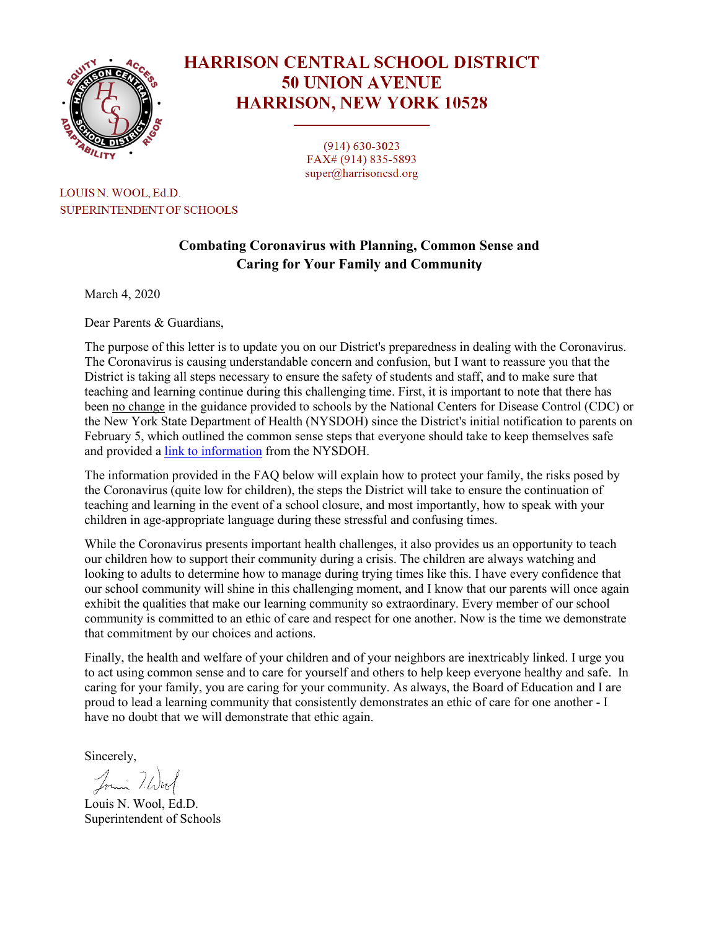

# **HARRISON CENTRAL SCHOOL DISTRICT 50 UNION AVENUE HARRISON, NEW YORK 10528**

 $(914)$  630-3023 FAX# (914) 835-5893  $super@harrisonsd.org$ 

LOUIS N. WOOL, Ed.D. **SUPERINTENDENT OF SCHOOLS** 

# **Combating Coronavirus with Planning, Common Sense and Caring for Your Family and Community**

March 4, 2020

Dear Parents & Guardians,

The purpose of this letter is to update you on our District's preparedness in dealing with the Coronavirus. The Coronavirus is causing understandable concern and confusion, but I want to reassure you that the District is taking all steps necessary to ensure the safety of students and staff, and to make sure that teaching and learning continue during this challenging time. First, it is important to note that there has been no change in the guidance provided to schools by the National Centers for Disease Control (CDC) or the New York State Department of Health (NYSDOH) since the District's initial notification to parents on February 5, which outlined the common sense steps that everyone should take to keep themselves safe and provided a [link to information](https://resources.finalsite.net/images/v1583333631/harrisoncsdorg/lw6lpbdycosheha1ev6q/NYSDOHCoronovirusInfo2-5-20.pdf) from the NYSDOH.

The information provided in the FAQ below will explain how to protect your family, the risks posed by the Coronavirus (quite low for children), the steps the District will take to ensure the continuation of teaching and learning in the event of a school closure, and most importantly, how to speak with your children in age-appropriate language during these stressful and confusing times.

While the Coronavirus presents important health challenges, it also provides us an opportunity to teach our children how to support their community during a crisis. The children are always watching and looking to adults to determine how to manage during trying times like this. I have every confidence that our school community will shine in this challenging moment, and I know that our parents will once again exhibit the qualities that make our learning community so extraordinary. Every member of our school community is committed to an ethic of care and respect for one another. Now is the time we demonstrate that commitment by our choices and actions.

Finally, the health and welfare of your children and of your neighbors are inextricably linked. I urge you to act using common sense and to care for yourself and others to help keep everyone healthy and safe. In caring for your family, you are caring for your community. As always, the Board of Education and I are proud to lead a learning community that consistently demonstrates an ethic of care for one another - I have no doubt that we will demonstrate that ethic again.

Sincerely,

Jouin 7. Worl

Louis N. Wool, Ed.D. Superintendent of Schools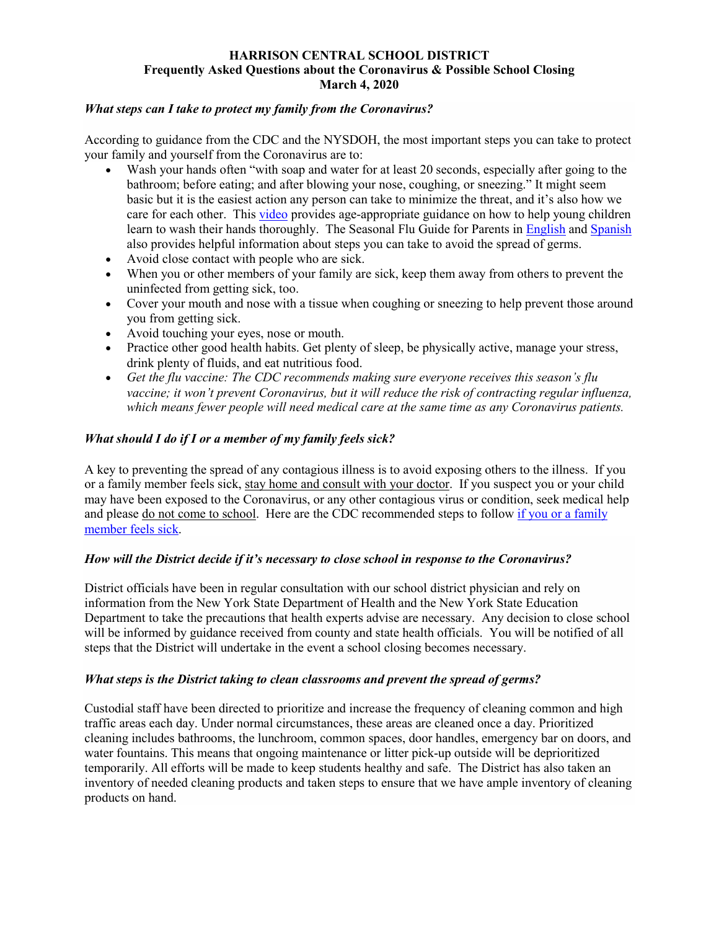#### **HARRISON CENTRAL SCHOOL DISTRICT Frequently Asked Questions about the Coronavirus & Possible School Closing March 4, 2020**

#### *What steps can I take to protect my family from the Coronavirus?*

According to guidance from the CDC and the NYSDOH, the most important steps you can take to protect your family and yourself from the Coronavirus are to:

- Wash your hands often "with soap and water for at least 20 seconds, especially after going to the bathroom; before eating; and after blowing your nose, coughing, or sneezing." It might seem basic but it is the easiest action any person can take to minimize the threat, and it's also how we care for each other. Thi[s video](https://www.youtube.com/watch?v=x3QUtQQp8W4) provides age-appropriate guidance on how to help young children learn to wash their hands thoroughly. The Seasonal Flu Guide for Parents in [English](https://resources.finalsite.net/images/v1573048294/harrisoncsdorg/p5tjts0qs3cramflchvu/2019SeasonalFluInfoEnglish.pdf) and [Spanish](https://resources.finalsite.net/images/v1573048294/harrisoncsdorg/v6uq3b7a8pbr9wesosdr/2019SeasonalFluInfoSpanish.pdf)  also provides helpful information about steps you can take to avoid the spread of germs.
- Avoid close contact with people who are sick.
- When you or other members of your family are sick, keep them away from others to prevent the uninfected from getting sick, too.
- Cover your mouth and nose with a tissue when coughing or sneezing to help prevent those around you from getting sick.
- Avoid touching your eyes, nose or mouth.
- Practice other good health habits. Get plenty of sleep, be physically active, manage your stress, drink plenty of fluids, and eat nutritious food.
- *Get the flu vaccine: The CDC recommends making sure everyone receives this season's flu vaccine; it won't prevent Coronavirus, but it will reduce the risk of contracting regular influenza, which means fewer people will need medical care at the same time as any Coronavirus patients.*

## *What should I do if I or a member of my family feels sick?*

A key to preventing the spread of any contagious illness is to avoid exposing others to the illness. If you or a family member feels sick, stay home and consult with your doctor. If you suspect you or your child may have been exposed to the Coronavirus, or any other contagious virus or condition, seek medical help and please do not come to school. Here are the CDC recommended steps to follow [if you or a family](https://www.cdc.gov/coronavirus/2019-ncov/about/steps-when-sick.html)  [member feels sick.](https://www.cdc.gov/coronavirus/2019-ncov/about/steps-when-sick.html)

#### *How will the District decide if it's necessary to close school in response to the Coronavirus?*

District officials have been in regular consultation with our school district physician and rely on information from the New York State Department of Health and the New York State Education Department to take the precautions that health experts advise are necessary. Any decision to close school will be informed by guidance received from county and state health officials. You will be notified of all steps that the District will undertake in the event a school closing becomes necessary.

#### *What steps is the District taking to clean classrooms and prevent the spread of germs?*

Custodial staff have been directed to prioritize and increase the frequency of cleaning common and high traffic areas each day. Under normal circumstances, these areas are cleaned once a day. Prioritized cleaning includes bathrooms, the lunchroom, common spaces, door handles, emergency bar on doors, and water fountains. This means that ongoing maintenance or litter pick-up outside will be deprioritized temporarily. All efforts will be made to keep students healthy and safe. The District has also taken an inventory of needed cleaning products and taken steps to ensure that we have ample inventory of cleaning products on hand.